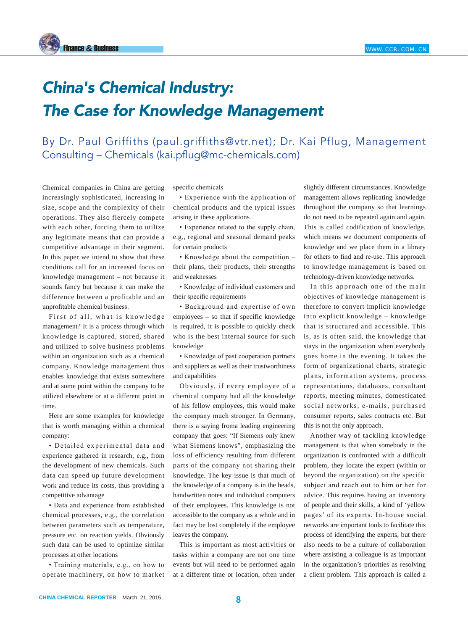## *China's Chemical Industry: The Case for Knowledge Management*

By Dr. Paul Griffiths (paul.griffiths@vtr.net); Dr. Kai Pflug, Management Consulting – Chemicals (kai.pflug@mc-chemicals.com)

Chemical companies in China are getting increasingly sophisticated, increasing in size, scope and the complexity of their operations. They also fiercely compete with each other, forcing them to utilize any legitimate means that can provide a competitive advantage in their segment. In this paper we intend to show that these conditions call for an increased focus on knowledge management – not because it sounds fancy but because it can make the difference between a profitable and an unprofitable chemical business.

First of all, what is knowledge management? It is a process through which knowledge is captured, stored, shared and utilized to solve business problems within an organization such as a chemical company. Knowledge management thus enables knowledge that exists somewhere and at some point within the company to be utilized elsewhere or at a different point in time.

Here are some examples for knowledge that is worth managing within a chemical company:

• Detailed experimental data and experience gathered in research, e.g., from the development of new chemicals. Such data can speed up future development work and reduce its costs, thus providing a competitive advantage

• Data and experience from established chemical processes, e.g., the correlation between parameters such as temperature, pressure etc. on reaction yields. Obviously such data can be used to optimize similar processes at other locations

• Training materials, e.g., on how to operate machinery, on how to market specific chemicals

• Experience with the application of chemical products and the typical issues arising in these applications

• Experience related to the supply chain, e.g., regional and seasonal demand peaks for certain products

• Knowledge about the competition – their plans, their products, their strengths and weaknesses

• Knowledge of individual customers and their specific requirements

• Background and expertise of own employees – so that if specific knowledge is required, it is possible to quickly check who is the best internal source for such knowledge

• Knowledge of past cooperation partners and suppliers as well as their trustworthiness and capabilities

Obviously, if every employee of a chemical company had all the knowledge of his fellow employees, this would make the company much stronger. In Germany, there is a saying froma leading engineering company that goes: "If Siemens only knew what Siemens knows", emphasizing the loss of efficiency resulting from different parts of the company not sharing their knowledge. The key issue is that much of the knowledge of a company is in the heads, handwritten notes and individual computers of their employees. This knowledge is not accessible to the company as a whole and in fact may be lost completely if the employee leaves the company.

This is important as most activities or tasks within a company are not one time events but will need to be performed again at a different time or location, often under slightly different circumstances. Knowledge management allows replicating knowledge throughout the company so that learnings do not need to be repeated again and again. This is called codification of knowledge, which means we document components of knowledge and we place them in a library for others to find and re-use. This approach to knowledge management is based on technology-driven knowledge networks.

In this approach one of the main objectives of knowledge management is therefore to convert implicit knowledge into explicit knowledge – knowledge that is structured and accessible. This is, as is often said, the knowledge that stays in the organization when everybody goes home in the evening. It takes the form of organizational charts, strategic plans, information systems, process representations, databases, consultant reports, meeting minutes, domesticated social networks, e-mails, purchased consumer reports, sales contracts etc. But this is not the only approach.

Another way of tackling knowledge management is that when somebody in the organization is confronted with a difficult problem, they locate the expert (within or beyond the organization) on the specific subject and reach out to him or her for advice. This requires having an inventory of people and their skills, a kind of 'yellow pages' of its experts. In-house social networks are important tools to facilitate this process of identifying the experts, but there also needs to be a culture of collaboration where assisting a colleague is as important in the organization's priorities as resolving a client problem. This approach is called a